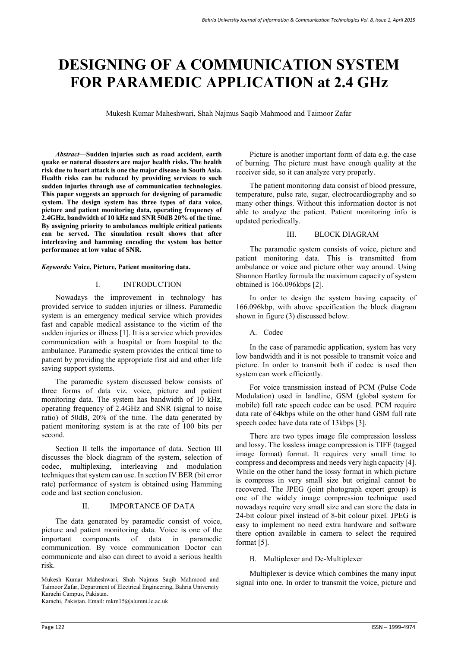# **DESIGNING OF A COMMUNICATION SYSTEM FOR PARAMEDIC APPLICATION at 2.4 GHz**

Mukesh Kumar Maheshwari, Shah Najmus Saqib Mahmood and Taimoor Zafar

*Abstract—***Sudden injuries such as road accident, earth quake or natural disasters are major health risks. The health risk due to heart attack is one the major disease in South Asia. Health risks can be reduced by providing services to such sudden injuries through use of communication technologies. This paper suggests an approach for designing of paramedic system. The design system has three types of data voice, picture and patient monitoring data, operating frequency of 2.4GHz, bandwidth of 10 kHz and SNR 50dB 20% of the time. By assigning priority to ambulances multiple critical patients can be served. The simulation result shows that after interleaving and hamming encoding the system has better performance at low value of SNR.** 

*Keywords:* **Voice, Picture, Patient monitoring data.**

# I. INTRODUCTION

Nowadays the improvement in technology has provided service to sudden injuries or illness. Paramedic system is an emergency medical service which provides fast and capable medical assistance to the victim of the sudden injuries or illness [1]. It is a service which provides communication with a hospital or from hospital to the ambulance. Paramedic system provides the critical time to patient by providing the appropriate first aid and other life saving support systems.

The paramedic system discussed below consists of three forms of data viz. voice, picture and patient monitoring data. The system has bandwidth of 10 kHz, operating frequency of 2.4GHz and SNR (signal to noise ratio) of 50dB, 20% of the time. The data generated by patient monitoring system is at the rate of 100 bits per second.

Section II tells the importance of data. Section III discusses the block diagram of the system, selection of codec, multiplexing, interleaving and modulation techniques that system can use. In section IV BER (bit error rate) performance of system is obtained using Hamming code and last section conclusion.

# II. IMPORTANCE OF DATA

The data generated by paramedic consist of voice, picture and patient monitoring data. Voice is one of the important components of data in paramedic important components of data in communication. By voice communication Doctor can communicate and also can direct to avoid a serious health risk.

Mukesh Kumar Maheshwari, Shah Najmus Saqib Mahmood and Taimoor Zafar, Department of Electrical Engineering, Bahria University Karachi Campus, Pakistan. Karachi, Pakistan. Email: mkm15@alumni.le.ac.uk

Picture is another important form of data e.g. the case of burning. The picture must have enough quality at the receiver side, so it can analyze very properly.

The patient monitoring data consist of blood pressure, temperature, pulse rate, sugar, electrocardiography and so many other things. Without this information doctor is not able to analyze the patient. Patient monitoring info is updated periodically.

#### III. BLOCK DIAGRAM

The paramedic system consists of voice, picture and patient monitoring data. This is transmitted from ambulance or voice and picture other way around. Using Shannon Hartley formula the maximum capacity of system obtained is 166.096kbps [2].

In order to design the system having capacity of 166.096kbp, with above specification the block diagram shown in figure (3) discussed below.

A. Codec

In the case of paramedic application, system has very low bandwidth and it is not possible to transmit voice and picture. In order to transmit both if codec is used then system can work efficiently.

For voice transmission instead of PCM (Pulse Code Modulation) used in landline, GSM (global system for mobile) full rate speech codec can be used. PCM require data rate of 64kbps while on the other hand GSM full rate speech codec have data rate of 13kbps [3].

There are two types image file compression lossless and lossy. The lossless image compression is TIFF (tagged image format) format. It requires very small time to compress and decompress and needs very high capacity [4]. While on the other hand the lossy format in which picture is compress in very small size but original cannot be recovered. The JPEG (joint photograph expert group) is one of the widely image compression technique used nowadays require very small size and can store the data in 24-bit colour pixel instead of 8-bit colour pixel. JPEG is easy to implement no need extra hardware and software there option available in camera to select the required format [5].

# B. Multiplexer and De-Multiplexer

Multiplexer is device which combines the many input signal into one. In order to transmit the voice, picture and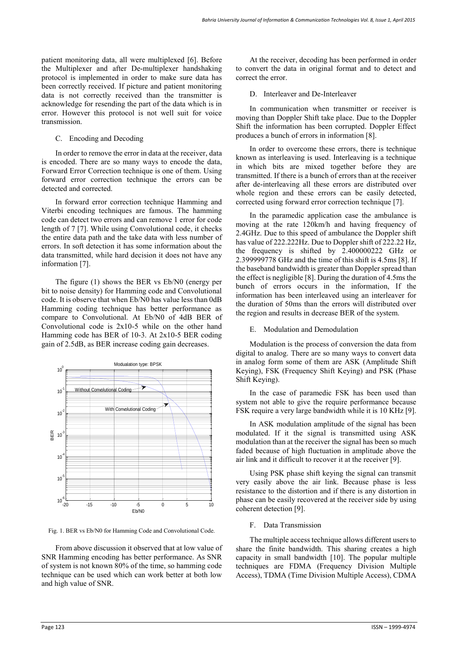patient monitoring data, all were multiplexed [6]. Before the Multiplexer and after De-multiplexer handshaking protocol is implemented in order to make sure data has been correctly received. If picture and patient monitoring data is not correctly received than the transmitter is acknowledge for resending the part of the data which is in error. However this protocol is not well suit for voice transmission.

#### C. Encoding and Decoding

In order to remove the error in data at the receiver, data is encoded. There are so many ways to encode the data, Forward Error Correction technique is one of them. Using forward error correction technique the errors can be detected and corrected.

In forward error correction technique Hamming and Viterbi encoding techniques are famous. The hamming code can detect two errors and can remove 1 error for code length of 7 [7]. While using Convolutional code, it checks the entire data path and the take data with less number of errors. In soft detection it has some information about the data transmitted, while hard decision it does not have any information [7].

The figure (1) shows the BER vs Eb/N0 (energy per bit to noise density) for Hamming code and Convolutional code. It is observe that when Eb/N0 has value less than 0dB Hamming coding technique has better performance as compare to Convolutional. At Eb/N0 of 4dB BER of Convolutional code is 2x10-5 while on the other hand Hamming code has BER of 10-3. At 2x10-5 BER coding gain of 2.5dB, as BER increase coding gain decreases.



Fig. 1. BER vs Eb/N0 for Hamming Code and Convolutional Code.

From above discussion it observed that at low value of SNR Hamming encoding has better performance. As SNR of system is not known 80% of the time, so hamming code technique can be used which can work better at both low and high value of SNR.

At the receiver, decoding has been performed in order to convert the data in original format and to detect and correct the error.

# D. Interleaver and De-Interleaver

In communication when transmitter or receiver is moving than Doppler Shift take place. Due to the Doppler Shift the information has been corrupted. Doppler Effect produces a bunch of errors in information [8].

In order to overcome these errors, there is technique known as interleaving is used. Interleaving is a technique in which bits are mixed together before they are transmitted. If there is a bunch of errors than at the receiver after de-interleaving all these errors are distributed over whole region and these errors can be easily detected, corrected using forward error correction technique [7].

In the paramedic application case the ambulance is moving at the rate 120km/h and having frequency of 2.4GHz. Due to this speed of ambulance the Doppler shift has value of 222.222Hz. Due to Doppler shift of 222.22 Hz, the frequency is shifted by 2.400000222 GHz or 2.399999778 GHz and the time of this shift is 4.5ms [8]. If the baseband bandwidth is greater than Doppler spread than the effect is negligible [8]. During the duration of 4.5ms the bunch of errors occurs in the information, If the information has been interleaved using an interleaver for the duration of 50ms than the errors will distributed over the region and results in decrease BER of the system.

# E. Modulation and Demodulation

Modulation is the process of conversion the data from digital to analog. There are so many ways to convert data in analog form some of them are ASK (Amplitude Shift Keying), FSK (Frequency Shift Keying) and PSK (Phase Shift Keying).

In the case of paramedic FSK has been used than system not able to give the require performance because FSK require a very large bandwidth while it is 10 KHz [9].

In ASK modulation amplitude of the signal has been modulated. If it the signal is transmitted using ASK modulation than at the receiver the signal has been so much faded because of high fluctuation in amplitude above the air link and it difficult to recover it at the receiver [9].

Using PSK phase shift keying the signal can transmit very easily above the air link. Because phase is less resistance to the distortion and if there is any distortion in phase can be easily recovered at the receiver side by using coherent detection [9].

# F. Data Transmission

The multiple access technique allows different users to share the finite bandwidth. This sharing creates a high capacity in small bandwidth [10]. The popular multiple techniques are FDMA (Frequency Division Multiple Access), TDMA (Time Division Multiple Access), CDMA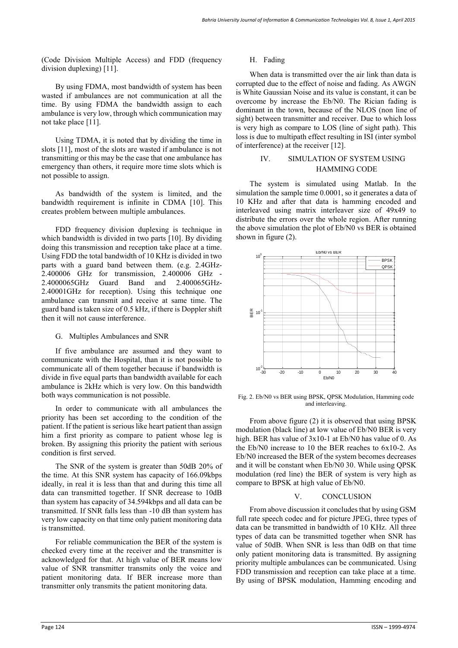(Code Division Multiple Access) and FDD (frequency division duplexing) [11].

By using FDMA, most bandwidth of system has been wasted if ambulances are not communication at all the time. By using FDMA the bandwidth assign to each ambulance is very low, through which communication may not take place [11].

Using TDMA, it is noted that by dividing the time in slots [11], most of the slots are wasted if ambulance is not transmitting or this may be the case that one ambulance has emergency than others, it require more time slots which is not possible to assign.

As bandwidth of the system is limited, and the bandwidth requirement is infinite in CDMA [10]. This creates problem between multiple ambulances.

FDD frequency division duplexing is technique in which bandwidth is divided in two parts [10]. By dividing doing this transmission and reception take place at a time. Using FDD the total bandwidth of 10 KHz is divided in two parts with a guard band between them. (e.g. 2.4GHz-2.400006 GHz for transmission, 2.400006 GHz - 2.4000065GHz Guard Band and 2.400065GHz-2.40001GHz for reception). Using this technique one ambulance can transmit and receive at same time. The guard band is taken size of 0.5 kHz, if there is Doppler shift then it will not cause interference.

#### G. Multiples Ambulances and SNR

If five ambulance are assumed and they want to communicate with the Hospital, than it is not possible to communicate all of them together because if bandwidth is divide in five equal parts than bandwidth available for each ambulance is 2kHz which is very low. On this bandwidth both ways communication is not possible.

In order to communicate with all ambulances the priority has been set according to the condition of the patient. If the patient is serious like heart patient than assign him a first priority as compare to patient whose leg is broken. By assigning this priority the patient with serious condition is first served.

The SNR of the system is greater than 50dB 20% of the time. At this SNR system has capacity of 166.09kbps ideally, in real it is less than that and during this time all data can transmitted together. If SNR decrease to 10dB than system has capacity of 34.594kbps and all data can be transmitted. If SNR falls less than -10 dB than system has very low capacity on that time only patient monitoring data is transmitted.

For reliable communication the BER of the system is checked every time at the receiver and the transmitter is acknowledged for that. At high value of BER means low value of SNR transmitter transmits only the voice and patient monitoring data. If BER increase more than transmitter only transmits the patient monitoring data.

#### H. Fading

When data is transmitted over the air link than data is corrupted due to the effect of noise and fading. As AWGN is White Gaussian Noise and its value is constant, it can be overcome by increase the Eb/N0. The Rician fading is dominant in the town, because of the NLOS (non line of sight) between transmitter and receiver. Due to which loss is very high as compare to LOS (line of sight path). This loss is due to multipath effect resulting in ISI (inter symbol of interference) at the receiver [12].

# IV. SIMULATION OF SYSTEM USING HAMMING CODE

The system is simulated using Matlab. In the simulation the sample time 0.0001, so it generates a data of 10 KHz and after that data is hamming encoded and interleaved using matrix interleaver size of 49x49 to distribute the errors over the whole region. After running the above simulation the plot of Eb/N0 vs BER is obtained shown in figure (2).



Fig. 2. Eb/N0 vs BER using BPSK, QPSK Modulation, Hamming code and interleaving.

From above figure (2) it is observed that using BPSK modulation (black line) at low value of Eb/N0 BER is very high. BER has value of  $3x10-1$  at Eb/N0 has value of 0. As the Eb/N0 increase to 10 the BER reaches to 6x10-2. As Eb/N0 increased the BER of the system becomes decreases and it will be constant when Eb/N0 30. While using QPSK modulation (red line) the BER of system is very high as compare to BPSK at high value of Eb/N0.

#### V. CONCLUSION

From above discussion it concludes that by using GSM full rate speech codec and for picture JPEG, three types of data can be transmitted in bandwidth of 10 KHz. All three types of data can be transmitted together when SNR has value of 50dB. When SNR is less than 0dB on that time only patient monitoring data is transmitted. By assigning priority multiple ambulances can be communicated. Using FDD transmission and reception can take place at a time. By using of BPSK modulation, Hamming encoding and